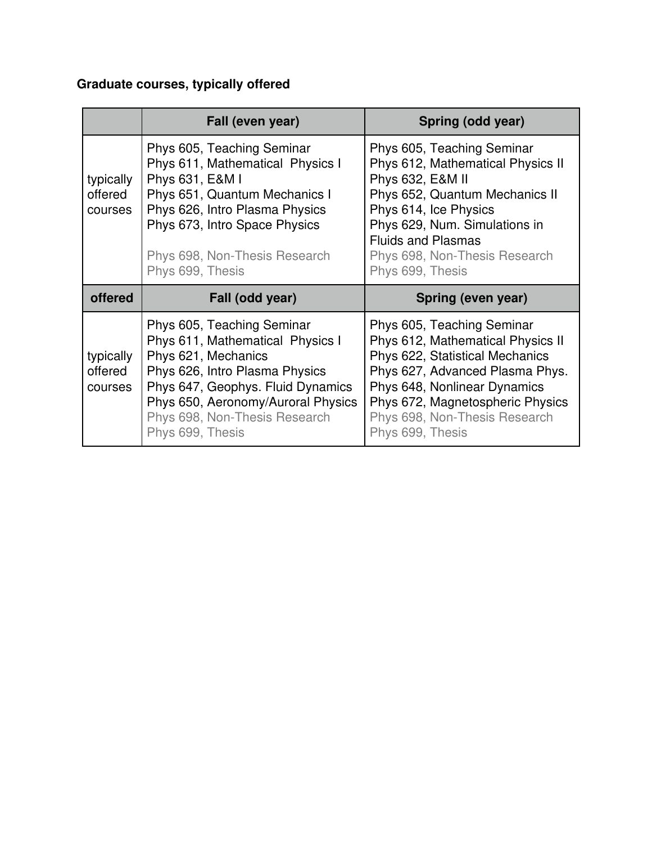## **Graduate courses, typically offered**

|                                 | Fall (even year)                                                                                                                                                                                                                                        | Spring (odd year)                                                                                                                                                                                                                                              |
|---------------------------------|---------------------------------------------------------------------------------------------------------------------------------------------------------------------------------------------------------------------------------------------------------|----------------------------------------------------------------------------------------------------------------------------------------------------------------------------------------------------------------------------------------------------------------|
| typically<br>offered<br>courses | Phys 605, Teaching Seminar<br>Phys 611, Mathematical Physics I<br>Phys 631, E&M I<br>Phys 651, Quantum Mechanics I<br>Phys 626, Intro Plasma Physics<br>Phys 673, Intro Space Physics<br>Phys 698, Non-Thesis Research                                  | Phys 605, Teaching Seminar<br>Phys 612, Mathematical Physics II<br>Phys 632, E&M II<br>Phys 652, Quantum Mechanics II<br>Phys 614, Ice Physics<br>Phys 629, Num. Simulations in<br><b>Fluids and Plasmas</b><br>Phys 698, Non-Thesis Research                  |
|                                 | Phys 699, Thesis                                                                                                                                                                                                                                        | Phys 699, Thesis                                                                                                                                                                                                                                               |
| offered                         | Fall (odd year)                                                                                                                                                                                                                                         | Spring (even year)                                                                                                                                                                                                                                             |
| typically<br>offered<br>courses | Phys 605, Teaching Seminar<br>Phys 611, Mathematical Physics I<br>Phys 621, Mechanics<br>Phys 626, Intro Plasma Physics<br>Phys 647, Geophys. Fluid Dynamics<br>Phys 650, Aeronomy/Auroral Physics<br>Phys 698, Non-Thesis Research<br>Phys 699, Thesis | Phys 605, Teaching Seminar<br>Phys 612, Mathematical Physics II<br>Phys 622, Statistical Mechanics<br>Phys 627, Advanced Plasma Phys.<br>Phys 648, Nonlinear Dynamics<br>Phys 672, Magnetospheric Physics<br>Phys 698, Non-Thesis Research<br>Phys 699, Thesis |